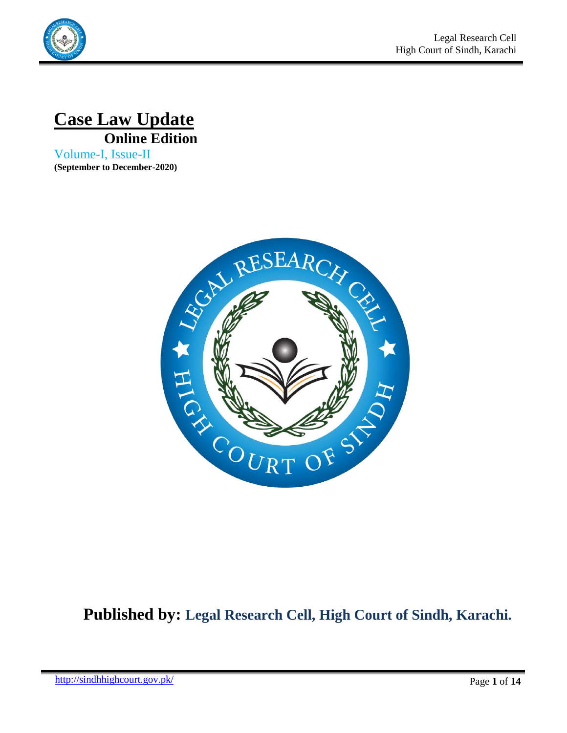



Volume-I, Issue-II **(September to December-2020)**



# **Published by: Legal Research Cell, High Court of Sindh, Karachi.**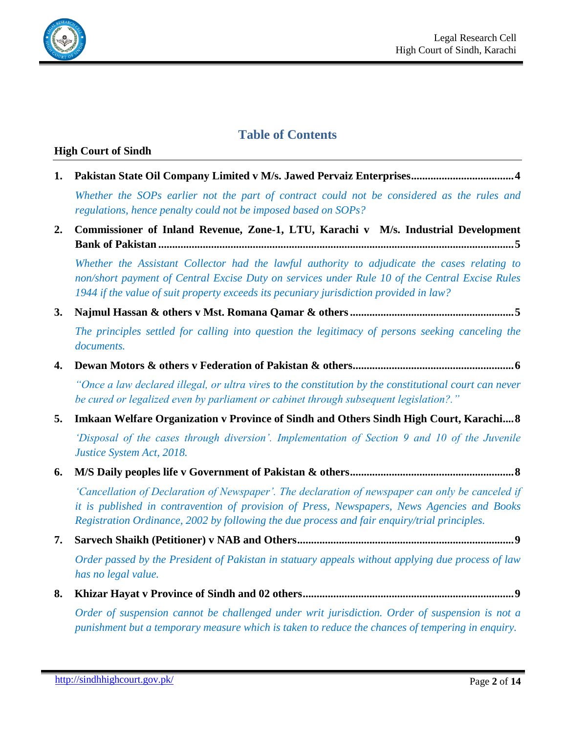

# **Table of Contents**

#### **High Court of Sindh**

**1. [Pakistan State Oil Company Limited v M/s. Jawed Pervaiz Enterprises.....................................4](#page-3-0)**

*[Whether the SOPs earlier not the part of contract could not be considered as the rules and](#page-3-1)  [regulations, hence penalty could not be imposed based on SOPs?](#page-3-1)*

**2. [Commissioner of Inland Revenue, Zone-1, LTU, Karachi v M/s. Industrial Development](#page-4-0)  Bank of Pakistan [................................................................................................................................5](#page-4-0)**

*[Whether the Assistant Collector had the lawful authority to adjudicate the cases relating to](#page-4-1)  [non/short payment of Central Excise Duty on services under Rule 10 of the Central Excise Rules](#page-4-1)  [1944 if the value of suit property exceeds its pecuniary jurisdiction provided in law?](#page-4-1)*

**3. [Najmul Hassan & others v Mst. Romana Qamar & others...........................................................5](#page-4-2)**

*[The principles settled for calling into question the](#page-4-3) legitimacy of persons seeking canceling the [documents.](#page-4-3)*

**4. Dewan Motors & others v Federation of Pakistan & [others..........................................................6](#page-5-0)**

*["Once a law declared illegal, or ultra vires to the constitution by the constitutional court can never](#page-5-1)  [be cured or legalized even by parliament or cabinet through subsequent legislation?."](#page-5-1)*

**5. Imkaan Welfare [Organization](#page-7-0) v Province of Sindh and Others Sindh High Court, Karachi....8** *["Disposal of the cases through diversion". Implementation of Section 9 and 10 of the Juvenile](#page-7-1)* 

*[Justice System Act, 2018.](#page-7-1)*

**6. M/S Daily peoples life v Government of Pakistan & [others...........................................................8](#page-7-2)**

*["Cancellation of Declaration of Newspaper". The declaration of newspaper can only be canceled if](#page-7-3)  [it is published in contravention of provision of Press, Newspapers, News Agencies and Books](#page-7-3)  [Registration Ordinance, 2002 by following the due process and fair enquiry/trial principles.](#page-7-3)*

**7. [Sarvech Shaikh \(Petitioner\) v NAB and Others..............................................................................9](#page-8-0)**

*[Order passed by the President of Pakistan in statuary appeals without applying due process of law](#page-8-1)  [has no legal value.](#page-8-1)*

**8. [Khizar Hayat v Province of Sindh and 02 others............................................................................9](#page-8-2)**

*[Order of suspension cannot be challenged under writ jurisdiction. Order of suspension is not a](#page-8-3)  [punishment but a temporary measure which is taken to reduce the chances of tempering in enquiry.](#page-8-3)*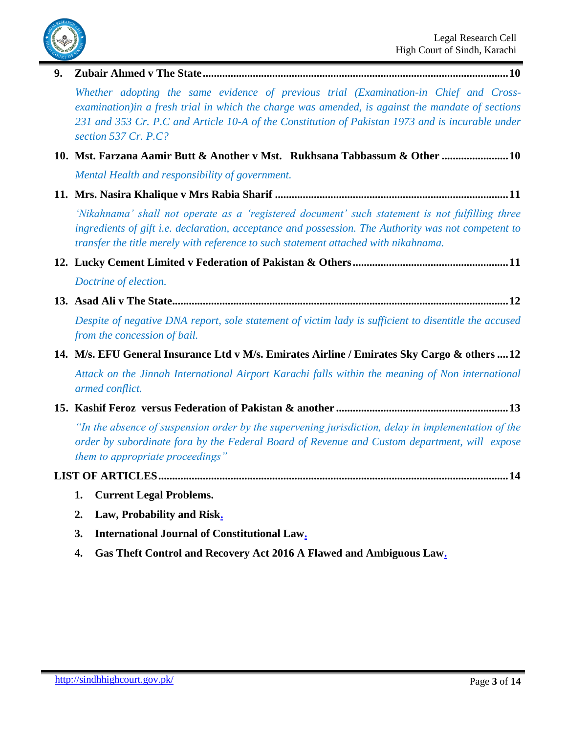

**9. [Zubair Ahmed v The State..............................................................................................................10](#page-9-0)**

*[Whether adopting the same evidence of previous trial \(Examination-in Chief and Cross](#page-9-1)[examination\)in a fresh trial in which the charge was amended, is against the mandate of sections](#page-9-1)  [231 and 353 Cr. P.C and Article 10-A of the Constitution of Pakistan 1973 and is incurable under](#page-9-1)  [section 537 Cr. P.C?](#page-9-1)*

- **10. [Mst. Farzana Aamir Butt & Another v Mst. Rukhsana Tabbassum & Other](#page-9-2) ........................10** *[Mental Health and responsibility of government.](#page-9-3)*
- **11. Mrs. Nasira Khalique v Mrs Rabia Sharif [....................................................................................11](#page-10-0)**

*"Nikahnama" shall [not operate as a "registered document" such statement is not fulfilling three](#page-10-1)  [ingredients of gift i.e. declaration, acceptance and possession. The Authority was not competent to](#page-10-1)  [transfer the title merely with reference to such statement attached with nikahnama.](#page-10-1)*

- **12. [Lucky Cement Limited v Federation of Pakistan & Others........................................................11](#page-10-2)** *[Doctrine of election.](#page-11-0)*
- **13. Asad Ali v The [State.........................................................................................................................12](#page-11-1)**

*[Despite of negative DNA report, sole statement of victim lady is sufficient to disentitle the accused](#page-11-2)  [from the concession of bail.](#page-11-2)*

**14. M/s. EFU General [Insurance](#page-11-3) Ltd v M/s. Emirates Airline / Emirates Sky Cargo & others ....12**

*[Attack on the Jinnah International Airport Karachi falls within the meaning of Non international](#page-11-4)  [armed conflict.](#page-11-4)*

**15. [Kashif Feroz versus Federation of Pakistan & another](#page-12-0) ..............................................................13**

*["In the absence of suspension order by the supervening jurisdiction, delay in implementation of the](#page-12-1)  [order by subordinate fora by the Federal Board of Revenue and Custom department, will expose](#page-12-1)  [them to appropriate proceedings"](#page-12-1)*

# **[LIST OF ARTICLES..............................................................................................................................14](#page-13-0)**

- **1. [Current Legal Problems.](#page-13-1)**
- **2. [Law, Probability and Risk.](#page-13-2)**
- **3. [International Journal of Constitutional Law.](#page-13-3)**
- **4. [Gas Theft Control and Recovery Act 2016 A Flawed and Ambiguous Law.](#page-13-4)**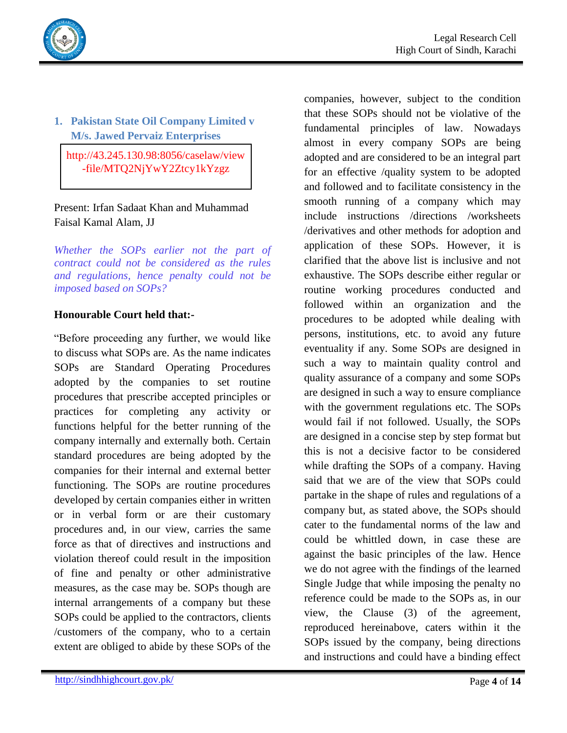



# <span id="page-3-0"></span>**1. Pakistan State Oil Company Limited v M/s. Jawed Pervaiz Enterprises**

http://43.245.130.98:8056/caselaw/view -file/MTQ2NjYwY2Ztcy1kYzgz

# Present: Irfan Sadaat Khan and Muhammad Faisal Kamal Alam, JJ

<span id="page-3-1"></span>*Whether the SOPs earlier not the part of contract could not be considered as the rules and regulations, hence penalty could not be imposed based on SOPs?*

### **Honourable Court held that:-**

"Before proceeding any further, we would like to discuss what SOPs are. As the name indicates SOPs are Standard Operating Procedures adopted by the companies to set routine procedures that prescribe accepted principles or practices for completing any activity or functions helpful for the better running of the company internally and externally both. Certain standard procedures are being adopted by the companies for their internal and external better functioning. The SOPs are routine procedures developed by certain companies either in written or in verbal form or are their customary procedures and, in our view, carries the same force as that of directives and instructions and violation thereof could result in the imposition of fine and penalty or other administrative measures, as the case may be. SOPs though are internal arrangements of a company but these SOPs could be applied to the contractors, clients /customers of the company, who to a certain extent are obliged to abide by these SOPs of the

companies, however, subject to the condition that these SOPs should not be violative of the fundamental principles of law. Nowadays almost in every company SOPs are being adopted and are considered to be an integral part for an effective /quality system to be adopted and followed and to facilitate consistency in the smooth running of a company which may include instructions /directions /worksheets /derivatives and other methods for adoption and application of these SOPs. However, it is clarified that the above list is inclusive and not exhaustive. The SOPs describe either regular or routine working procedures conducted and followed within an organization and the procedures to be adopted while dealing with persons, institutions, etc. to avoid any future eventuality if any. Some SOPs are designed in such a way to maintain quality control and quality assurance of a company and some SOPs are designed in such a way to ensure compliance with the government regulations etc. The SOPs would fail if not followed. Usually, the SOPs are designed in a concise step by step format but this is not a decisive factor to be considered while drafting the SOPs of a company. Having said that we are of the view that SOPs could partake in the shape of rules and regulations of a company but, as stated above, the SOPs should cater to the fundamental norms of the law and could be whittled down, in case these are against the basic principles of the law. Hence we do not agree with the findings of the learned Single Judge that while imposing the penalty no reference could be made to the SOPs as, in our view, the Clause (3) of the agreement, reproduced hereinabove, caters within it the SOPs issued by the company, being directions and instructions and could have a binding effect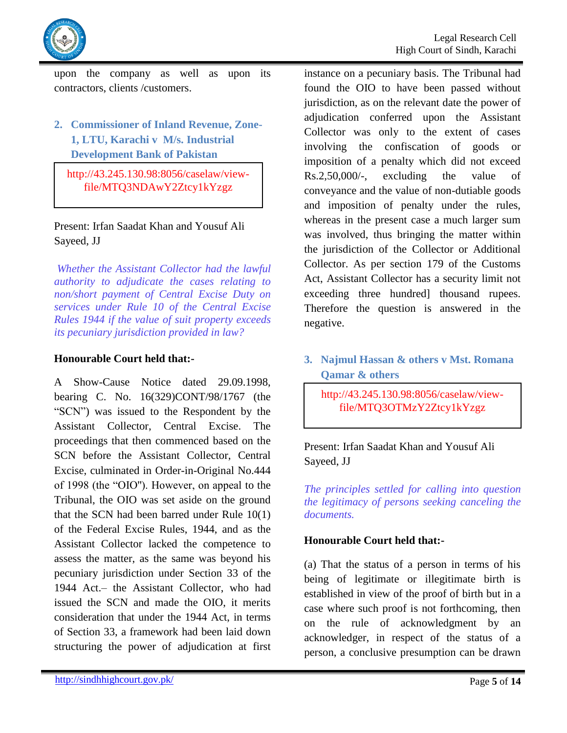

upon the company as well as upon its contractors, clients /customers.

<span id="page-4-0"></span>**2. Commissioner of Inland Revenue, Zone-1, LTU, Karachi v M/s. Industrial Development Bank of Pakistan**

http://43.245.130.98:8056/caselaw/viewfile/MTQ3NDAwY2Ztcy1kYzgz

Present: Irfan Saadat Khan and Yousuf Ali Sayeed, JJ

<span id="page-4-1"></span>*Whether the Assistant Collector had the lawful authority to adjudicate the cases relating to non/short payment of Central Excise Duty on services under Rule 10 of the Central Excise Rules 1944 if the value of suit property exceeds its pecuniary jurisdiction provided in law?*

### **Honourable Court held that:-**

A Show-Cause Notice dated 29.09.1998, bearing C. No. 16(329)CONT/98/1767 (the "SCN") was issued to the Respondent by the Assistant Collector, Central Excise. The proceedings that then commenced based on the SCN before the Assistant Collector, Central Excise, culminated in Order-in-Original No.444 of 1998 (the "OIO''). However, on appeal to the Tribunal, the OIO was set aside on the ground that the SCN had been barred under Rule 10(1) of the Federal Excise Rules, 1944, and as the Assistant Collector lacked the competence to assess the matter, as the same was beyond his pecuniary jurisdiction under Section 33 of the 1944 Act.– the Assistant Collector, who had issued the SCN and made the OIO, it merits consideration that under the 1944 Act, in terms of Section 33, a framework had been laid down structuring the power of adjudication at first

instance on a pecuniary basis. The Tribunal had found the OIO to have been passed without jurisdiction, as on the relevant date the power of adjudication conferred upon the Assistant Collector was only to the extent of cases involving the confiscation of goods or imposition of a penalty which did not exceed Rs.2,50,000/-, excluding the value of conveyance and the value of non-dutiable goods and imposition of penalty under the rules, whereas in the present case a much larger sum was involved, thus bringing the matter within the jurisdiction of the Collector or Additional Collector. As per section 179 of the Customs Act, Assistant Collector has a security limit not exceeding three hundred] thousand rupees. Therefore the question is answered in the negative.

# <span id="page-4-2"></span>**3. Najmul Hassan & others v Mst. Romana Qamar & others**

http://43.245.130.98:8056/caselaw/viewfile/MTQ3OTMzY2Ztcy1kYzgz

Present: Irfan Saadat Khan and Yousuf Ali Sayeed, JJ

<span id="page-4-3"></span>*The principles settled for calling into question the legitimacy of persons seeking canceling the documents.*

### **Honourable Court held that:-**

(a) That the status of a person in terms of his being of legitimate or illegitimate birth is established in view of the proof of birth but in a case where such proof is not forthcoming, then on the rule of acknowledgment by an acknowledger, in respect of the status of a person, a conclusive presumption can be drawn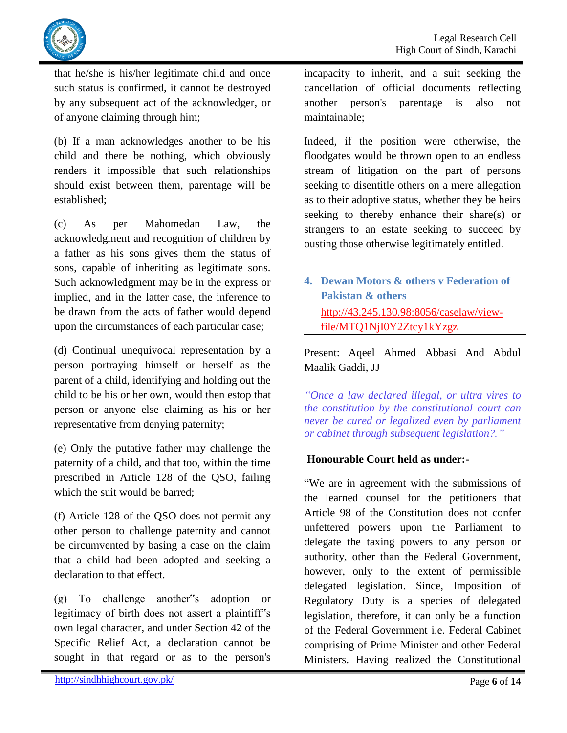

that he/she is his/her legitimate child and once such status is confirmed, it cannot be destroyed by any subsequent act of the acknowledger, or of anyone claiming through him;

(b) If a man acknowledges another to be his child and there be nothing, which obviously renders it impossible that such relationships should exist between them, parentage will be established;

(c) As per Mahomedan Law, the acknowledgment and recognition of children by a father as his sons gives them the status of sons, capable of inheriting as legitimate sons. Such acknowledgment may be in the express or implied, and in the latter case, the inference to be drawn from the acts of father would depend upon the circumstances of each particular case;

(d) Continual unequivocal representation by a person portraying himself or herself as the parent of a child, identifying and holding out the child to be his or her own, would then estop that person or anyone else claiming as his or her representative from denying paternity;

(e) Only the putative father may challenge the paternity of a child, and that too, within the time prescribed in Article 128 of the QSO, failing which the suit would be barred;

(f) Article 128 of the QSO does not permit any other person to challenge paternity and cannot be circumvented by basing a case on the claim that a child had been adopted and seeking a declaration to that effect.

(g) To challenge another"s adoption or legitimacy of birth does not assert a plaintiff"s own legal character, and under Section 42 of the Specific Relief Act, a declaration cannot be sought in that regard or as to the person's incapacity to inherit, and a suit seeking the cancellation of official documents reflecting another person's parentage is also not maintainable;

Indeed, if the position were otherwise, the floodgates would be thrown open to an endless stream of litigation on the part of persons seeking to disentitle others on a mere allegation as to their adoptive status, whether they be heirs seeking to thereby enhance their share(s) or strangers to an estate seeking to succeed by ousting those otherwise legitimately entitled.

<span id="page-5-0"></span>**4. Dewan Motors & others v Federation of Pakistan & others**

[http://43.245.130.98:8056/caselaw/view](http://43.245.130.98:8056/caselaw/view-)file/MTQ1NjI0Y2Ztcy1kYzgz

Present: Aqeel Ahmed Abbasi And Abdul Maalik Gaddi, JJ

<span id="page-5-1"></span>*"Once a law declared illegal, or ultra vires to the constitution by the constitutional court can never be cured or legalized even by parliament or cabinet through subsequent legislation?."*

# **Honourable Court held as under:-**

"We are in agreement with the submissions of the learned counsel for the petitioners that Article 98 of the Constitution does not confer unfettered powers upon the Parliament to delegate the taxing powers to any person or authority, other than the Federal Government, however, only to the extent of permissible delegated legislation. Since, Imposition of Regulatory Duty is a species of delegated legislation, therefore, it can only be a function of the Federal Government i.e. Federal Cabinet comprising of Prime Minister and other Federal Ministers. Having realized the Constitutional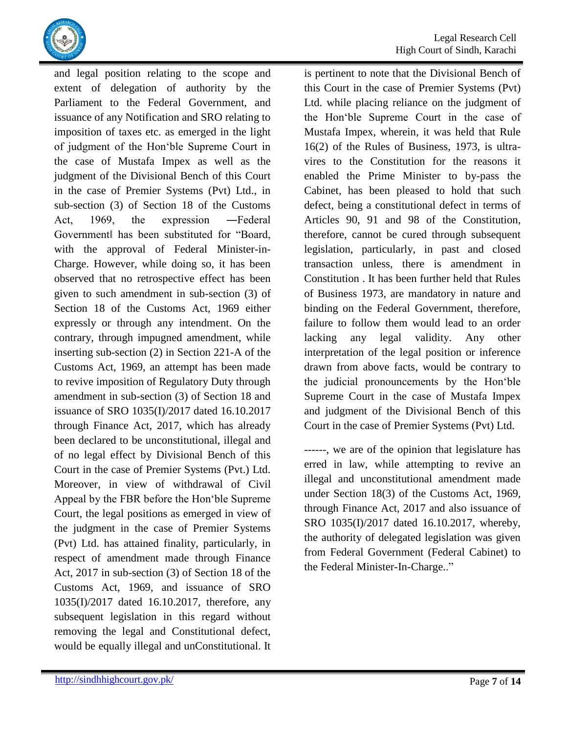

and legal position relating to the scope and extent of delegation of authority by the Parliament to the Federal Government, and issuance of any Notification and SRO relating to imposition of taxes etc. as emerged in the light of judgment of the Hon"ble Supreme Court in the case of Mustafa Impex as well as the judgment of the Divisional Bench of this Court in the case of Premier Systems (Pvt) Ltd., in sub-section (3) of Section 18 of the Customs Act, 1969, the expression ―Federal Government‖ has been substituted for "Board, with the approval of Federal Minister-in-Charge. However, while doing so, it has been observed that no retrospective effect has been given to such amendment in sub-section (3) of Section 18 of the Customs Act, 1969 either expressly or through any intendment. On the contrary, through impugned amendment, while inserting sub-section (2) in Section 221-A of the Customs Act, 1969, an attempt has been made to revive imposition of Regulatory Duty through amendment in sub-section (3) of Section 18 and issuance of SRO 1035(I)/2017 dated 16.10.2017 through Finance Act, 2017, which has already been declared to be unconstitutional, illegal and of no legal effect by Divisional Bench of this Court in the case of Premier Systems (Pvt.) Ltd. Moreover, in view of withdrawal of Civil Appeal by the FBR before the Hon"ble Supreme Court, the legal positions as emerged in view of the judgment in the case of Premier Systems (Pvt) Ltd. has attained finality, particularly, in respect of amendment made through Finance Act, 2017 in sub-section (3) of Section 18 of the Customs Act, 1969, and issuance of SRO 1035(I)/2017 dated 16.10.2017, therefore, any subsequent legislation in this regard without removing the legal and Constitutional defect, would be equally illegal and unConstitutional. It

is pertinent to note that the Divisional Bench of this Court in the case of Premier Systems (Pvt) Ltd. while placing reliance on the judgment of the Hon"ble Supreme Court in the case of Mustafa Impex, wherein, it was held that Rule 16(2) of the Rules of Business, 1973, is ultravires to the Constitution for the reasons it enabled the Prime Minister to by-pass the Cabinet, has been pleased to hold that such defect, being a constitutional defect in terms of Articles 90, 91 and 98 of the Constitution, therefore, cannot be cured through subsequent legislation, particularly, in past and closed transaction unless, there is amendment in Constitution . It has been further held that Rules of Business 1973, are mandatory in nature and binding on the Federal Government, therefore, failure to follow them would lead to an order lacking any legal validity. Any other interpretation of the legal position or inference drawn from above facts, would be contrary to the judicial pronouncements by the Hon"ble Supreme Court in the case of Mustafa Impex and judgment of the Divisional Bench of this Court in the case of Premier Systems (Pvt) Ltd.

------, we are of the opinion that legislature has erred in law, while attempting to revive an illegal and unconstitutional amendment made under Section 18(3) of the Customs Act, 1969, through Finance Act, 2017 and also issuance of SRO 1035(I)/2017 dated 16.10.2017, whereby, the authority of delegated legislation was given from Federal Government (Federal Cabinet) to the Federal Minister-In-Charge.."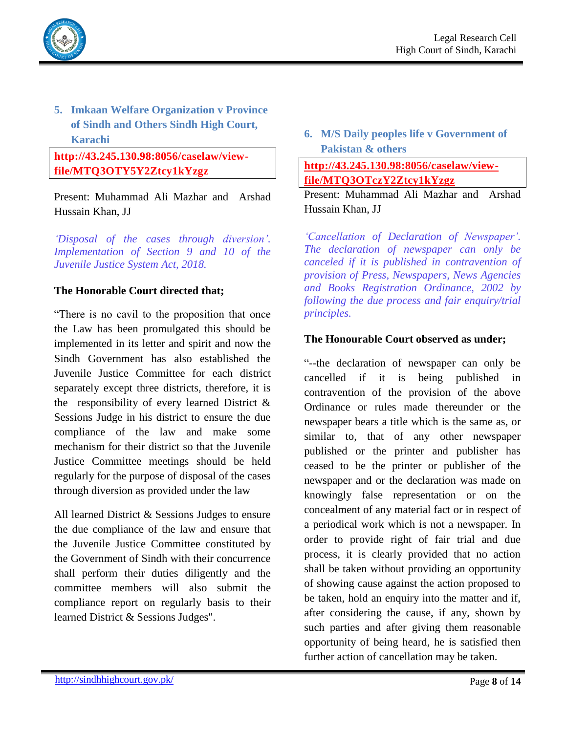

# <span id="page-7-0"></span>**5. Imkaan Welfare Organization v Province of Sindh and Others Sindh High Court, Karachi**

### **http://43.245.130.98:8056/caselaw/viewfile/MTQ3OTY5Y2Ztcy1kYzgz**

Present: Muhammad Ali Mazhar and Arshad Hussain Khan, JJ

<span id="page-7-1"></span>*"Disposal of the cases through diversion". Implementation of Section 9 and 10 of the Juvenile Justice System Act, 2018.*

### **The Honorable Court directed that;**

"There is no cavil to the proposition that once the Law has been promulgated this should be implemented in its letter and spirit and now the Sindh Government has also established the Juvenile Justice Committee for each district separately except three districts, therefore, it is the responsibility of every learned District & Sessions Judge in his district to ensure the due compliance of the law and make some mechanism for their district so that the Juvenile Justice Committee meetings should be held regularly for the purpose of disposal of the cases through diversion as provided under the law

All learned District & Sessions Judges to ensure the due compliance of the law and ensure that the Juvenile Justice Committee constituted by the Government of Sindh with their concurrence shall perform their duties diligently and the committee members will also submit the compliance report on regularly basis to their learned District & Sessions Judges".

<span id="page-7-2"></span>**6. M/S Daily peoples life v Government of Pakistan & others**

# **[http://43.245.130.98:8056/caselaw/view](http://43.245.130.98:8056/caselaw/view-file/MTQ3OTczY2Ztcy1kYzgz)[file/MTQ3OTczY2Ztcy1kYzgz](http://43.245.130.98:8056/caselaw/view-file/MTQ3OTczY2Ztcy1kYzgz)**

Present: Muhammad Ali Mazhar and Arshad Hussain Khan, JJ

<span id="page-7-3"></span>*"Cancellation of Declaration of Newspaper". The declaration of newspaper can only be canceled if it is published in contravention of provision of Press, Newspapers, News Agencies and Books Registration Ordinance, 2002 by following the due process and fair enquiry/trial principles.*

### **The Honourable Court observed as under;**

"--the declaration of newspaper can only be cancelled if it is being published in contravention of the provision of the above Ordinance or rules made thereunder or the newspaper bears a title which is the same as, or similar to, that of any other newspaper published or the printer and publisher has ceased to be the printer or publisher of the newspaper and or the declaration was made on knowingly false representation or on the concealment of any material fact or in respect of a periodical work which is not a newspaper. In order to provide right of fair trial and due process, it is clearly provided that no action shall be taken without providing an opportunity of showing cause against the action proposed to be taken, hold an enquiry into the matter and if, after considering the cause, if any, shown by such parties and after giving them reasonable opportunity of being heard, he is satisfied then further action of cancellation may be taken.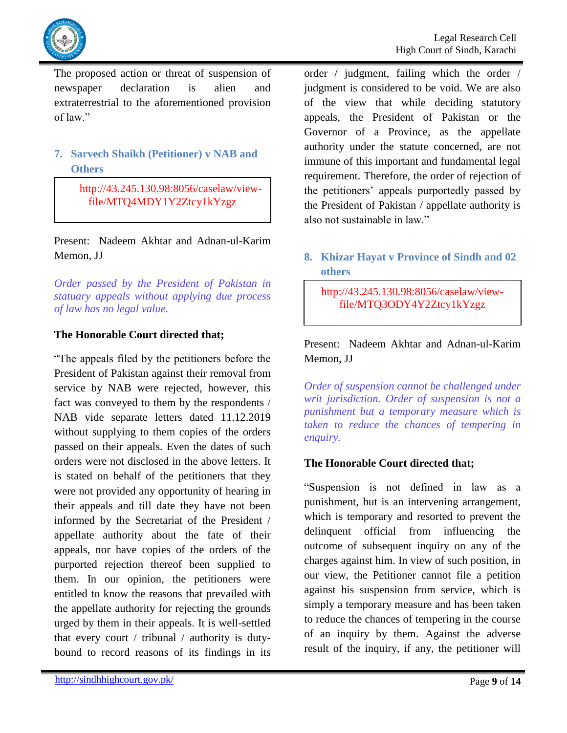

The proposed action or threat of suspension of newspaper declaration is alien and extraterrestrial to the aforementioned provision of law."

# <span id="page-8-0"></span>**7. Sarvech Shaikh (Petitioner) v NAB and Others**

 http://43.245.130.98:8056/caselaw/viewfile/MTQ4MDY1Y2Ztcy1kYzgz

Present: Nadeem Akhtar and Adnan-ul-Karim Memon, JJ

<span id="page-8-1"></span>*Order passed by the President of Pakistan in statuary appeals without applying due process of law has no legal value.*

### **The Honorable Court directed that;**

"The appeals filed by the petitioners before the President of Pakistan against their removal from service by NAB were rejected, however, this fact was conveyed to them by the respondents / NAB vide separate letters dated 11.12.2019 without supplying to them copies of the orders passed on their appeals. Even the dates of such orders were not disclosed in the above letters. It is stated on behalf of the petitioners that they were not provided any opportunity of hearing in their appeals and till date they have not been informed by the Secretariat of the President / appellate authority about the fate of their appeals, nor have copies of the orders of the purported rejection thereof been supplied to them. In our opinion, the petitioners were entitled to know the reasons that prevailed with the appellate authority for rejecting the grounds urged by them in their appeals. It is well-settled that every court / tribunal / authority is dutybound to record reasons of its findings in its order / judgment, failing which the order / judgment is considered to be void. We are also of the view that while deciding statutory appeals, the President of Pakistan or the Governor of a Province, as the appellate authority under the statute concerned, are not immune of this important and fundamental legal requirement. Therefore, the order of rejection of the petitioners' appeals purportedly passed by the President of Pakistan / appellate authority is also not sustainable in law."

### <span id="page-8-2"></span>**8. Khizar Hayat v Province of Sindh and 02 others**

http://43.245.130.98:8056/caselaw/viewfile/MTQ3ODY4Y2Ztcy1kYzgz

Present: Nadeem Akhtar and Adnan-ul-Karim Memon, JJ

<span id="page-8-3"></span>*Order of suspension cannot be challenged under writ jurisdiction. Order of suspension is not a punishment but a temporary measure which is taken to reduce the chances of tempering in enquiry.*

# **The Honorable Court directed that;**

"Suspension is not defined in law as a punishment, but is an intervening arrangement, which is temporary and resorted to prevent the delinquent official from influencing the outcome of subsequent inquiry on any of the charges against him. In view of such position, in our view, the Petitioner cannot file a petition against his suspension from service, which is simply a temporary measure and has been taken to reduce the chances of tempering in the course of an inquiry by them. Against the adverse result of the inquiry, if any, the petitioner will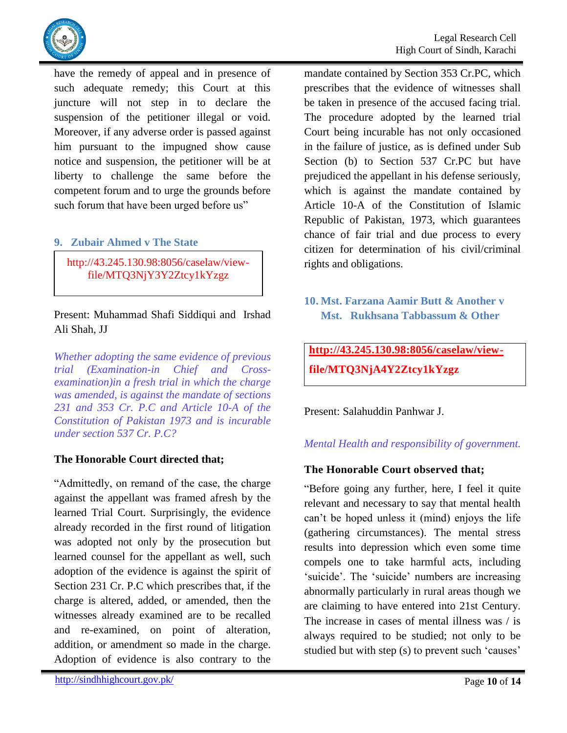

have the remedy of appeal and in presence of such adequate remedy; this Court at this juncture will not step in to declare the suspension of the petitioner illegal or void. Moreover, if any adverse order is passed against him pursuant to the impugned show cause notice and suspension, the petitioner will be at liberty to challenge the same before the competent forum and to urge the grounds before such forum that have been urged before us"

### <span id="page-9-0"></span>**9. Zubair Ahmed v The State**

http://43.245.130.98:8056/caselaw/viewfile/MTQ3NjY3Y2Ztcy1kYzgz

Present: Muhammad Shafi Siddiqui and Irshad Ali Shah, JJ

<span id="page-9-1"></span>*Whether adopting the same evidence of previous trial (Examination-in Chief and Crossexamination)in a fresh trial in which the charge was amended, is against the mandate of sections 231 and 353 Cr. P.C and Article 10-A of the Constitution of Pakistan 1973 and is incurable under section 537 Cr. P.C?*

### **The Honorable Court directed that;**

"Admittedly, on remand of the case, the charge against the appellant was framed afresh by the learned Trial Court. Surprisingly, the evidence already recorded in the first round of litigation was adopted not only by the prosecution but learned counsel for the appellant as well, such adoption of the evidence is against the spirit of Section 231 Cr. P.C which prescribes that, if the charge is altered, added, or amended, then the witnesses already examined are to be recalled and re-examined, on point of alteration, addition, or amendment so made in the charge. Adoption of evidence is also contrary to the

mandate contained by Section 353 Cr.PC, which prescribes that the evidence of witnesses shall be taken in presence of the accused facing trial. The procedure adopted by the learned trial Court being incurable has not only occasioned in the failure of justice, as is defined under Sub Section (b) to Section 537 Cr.PC but have prejudiced the appellant in his defense seriously, which is against the mandate contained by Article 10-A of the Constitution of Islamic Republic of Pakistan, 1973, which guarantees chance of fair trial and due process to every citizen for determination of his civil/criminal rights and obligations.

# <span id="page-9-2"></span>**10. Mst. Farzana Aamir Butt & Another v Mst. Rukhsana Tabbassum & Other**

**[http://43.245.130.98:8056/caselaw/view](http://43.245.130.98:8056/caselaw/view-)file/MTQ3NjA4Y2Ztcy1kYzgz**

Present: Salahuddin Panhwar J.

# <span id="page-9-3"></span>*Mental Health and responsibility of government.*

# **The Honorable Court observed that;**

"Before going any further, here, I feel it quite relevant and necessary to say that mental health can"t be hoped unless it (mind) enjoys the life (gathering circumstances). The mental stress results into depression which even some time compels one to take harmful acts, including 'suicide'. The 'suicide' numbers are increasing abnormally particularly in rural areas though we are claiming to have entered into 21st Century. The increase in cases of mental illness was / is always required to be studied; not only to be studied but with step (s) to prevent such 'causes'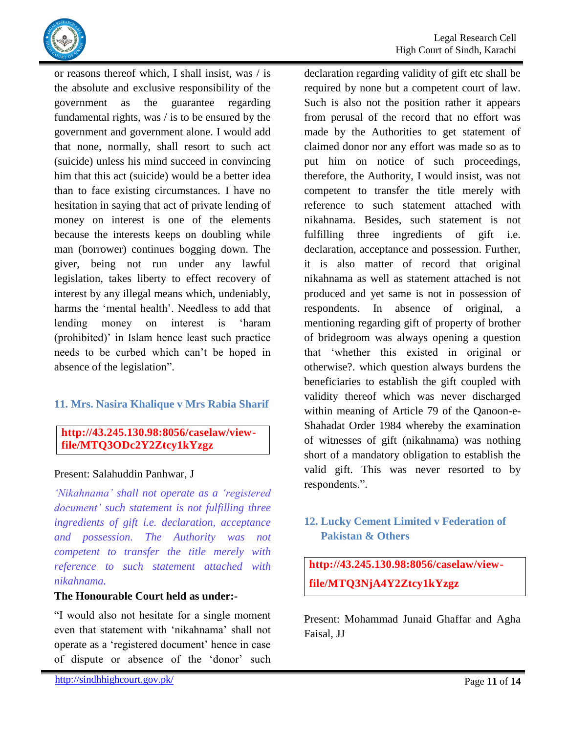

or reasons thereof which, I shall insist, was / is the absolute and exclusive responsibility of the government as the guarantee regarding fundamental rights, was / is to be ensured by the government and government alone. I would add that none, normally, shall resort to such act (suicide) unless his mind succeed in convincing him that this act (suicide) would be a better idea than to face existing circumstances. I have no hesitation in saying that act of private lending of money on interest is one of the elements because the interests keeps on doubling while man (borrower) continues bogging down. The giver, being not run under any lawful legislation, takes liberty to effect recovery of interest by any illegal means which, undeniably, harms the 'mental health'. Needless to add that lending money on interest is "haram (prohibited)" in Islam hence least such practice needs to be curbed which can"t be hoped in absence of the legislation".

# <span id="page-10-0"></span>**11. Mrs. Nasira Khalique v Mrs Rabia Sharif**

### **http://43.245.130.98:8056/caselaw/viewfile/MTQ3ODc2Y2Ztcy1kYzgz**

### Present: Salahuddin Panhwar, J

<span id="page-10-1"></span>*"Nikahnama" shall not operate as a "registered document" such statement is not fulfilling three ingredients of gift i.e. declaration, acceptance and possession. The Authority was not competent to transfer the title merely with reference to such statement attached with nikahnama.*

#### **The Honourable Court held as under:-**

"I would also not hesitate for a single moment even that statement with "nikahnama" shall not operate as a "registered document" hence in case of dispute or absence of the "donor" such declaration regarding validity of gift etc shall be required by none but a competent court of law. Such is also not the position rather it appears from perusal of the record that no effort was made by the Authorities to get statement of claimed donor nor any effort was made so as to put him on notice of such proceedings, therefore, the Authority, I would insist, was not competent to transfer the title merely with reference to such statement attached with nikahnama. Besides, such statement is not fulfilling three ingredients of gift i.e. declaration, acceptance and possession. Further, it is also matter of record that original nikahnama as well as statement attached is not produced and yet same is not in possession of respondents. In absence of original, a mentioning regarding gift of property of brother of bridegroom was always opening a question that "whether this existed in original or otherwise?. which question always burdens the beneficiaries to establish the gift coupled with validity thereof which was never discharged within meaning of Article 79 of the Qanoon-e-Shahadat Order 1984 whereby the examination of witnesses of gift (nikahnama) was nothing short of a mandatory obligation to establish the valid gift. This was never resorted to by respondents.".

# <span id="page-10-2"></span>**12. Lucky Cement Limited v Federation of Pakistan & Others**

**http://43.245.130.98:8056/caselaw/viewfile/MTQ3NjA4Y2Ztcy1kYzgz**

Present: Mohammad Junaid Ghaffar and Agha Faisal, JJ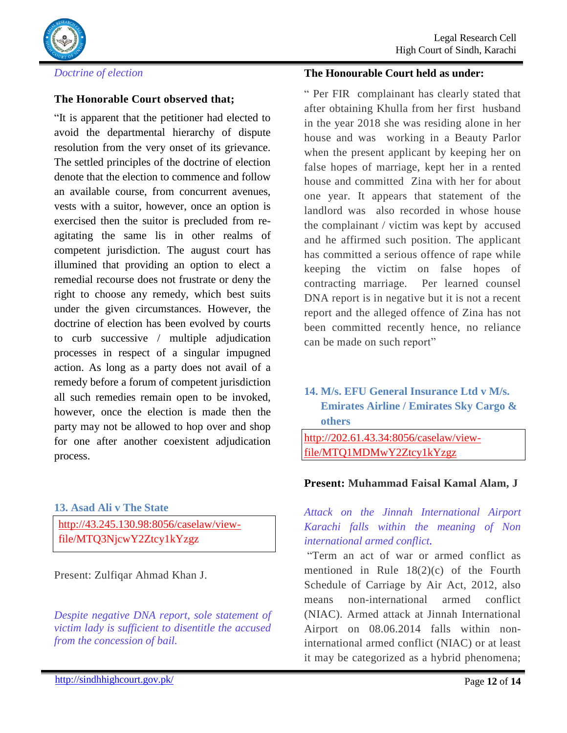

<span id="page-11-0"></span>*Doctrine of election*

### **The Honorable Court observed that;**

"It is apparent that the petitioner had elected to avoid the departmental hierarchy of dispute resolution from the very onset of its grievance. The settled principles of the doctrine of election denote that the election to commence and follow an available course, from concurrent avenues, vests with a suitor, however, once an option is exercised then the suitor is precluded from reagitating the same lis in other realms of competent jurisdiction. The august court has illumined that providing an option to elect a remedial recourse does not frustrate or deny the right to choose any remedy, which best suits under the given circumstances. However, the doctrine of election has been evolved by courts to curb successive / multiple adjudication processes in respect of a singular impugned action. As long as a party does not avail of a remedy before a forum of competent jurisdiction all such remedies remain open to be invoked, however, once the election is made then the party may not be allowed to hop over and shop for one after another coexistent adjudication process.

<span id="page-11-1"></span>**13. Asad Ali v The State**

[http://43.245.130.98:8056/caselaw/view](http://43.245.130.98:8056/caselaw/view-)file/MTQ3NjcwY2Ztcy1kYzgz

Present: Zulfiqar Ahmad Khan J.

<span id="page-11-2"></span>*Despite negative DNA report, sole statement of victim lady is sufficient to disentitle the accused from the concession of bail.*

#### **The Honourable Court held as under:**

" Per FIR complainant has clearly stated that after obtaining Khulla from her first husband in the year 2018 she was residing alone in her house and was working in a Beauty Parlor when the present applicant by keeping her on false hopes of marriage, kept her in a rented house and committed Zina with her for about one year. It appears that statement of the landlord was also recorded in whose house the complainant / victim was kept by accused and he affirmed such position. The applicant has committed a serious offence of rape while keeping the victim on false hopes of contracting marriage. Per learned counsel DNA report is in negative but it is not a recent report and the alleged offence of Zina has not been committed recently hence, no reliance can be made on such report"

<span id="page-11-3"></span>**14. M/s. EFU General Insurance Ltd v M/s. Emirates Airline / Emirates Sky Cargo & others**

[http://202.61.43.34:8056/caselaw/view](http://202.61.43.34:8056/caselaw/view-file/MTQ1MDMwY2Ztcy1kYzgz)[file/MTQ1MDMwY2Ztcy1kYzgz](http://202.61.43.34:8056/caselaw/view-file/MTQ1MDMwY2Ztcy1kYzgz)

#### **Present: Muhammad Faisal Kamal Alam, J**

<span id="page-11-4"></span>*Attack on the Jinnah International Airport Karachi falls within the meaning of Non international armed conflict.*

"Term an act of war or armed conflict as mentioned in Rule 18(2)(c) of the Fourth Schedule of Carriage by Air Act, 2012, also means non-international armed conflict (NIAC). Armed attack at Jinnah International Airport on 08.06.2014 falls within noninternational armed conflict (NIAC) or at least it may be categorized as a hybrid phenomena;

http://sindhhighcourt.gov.pk/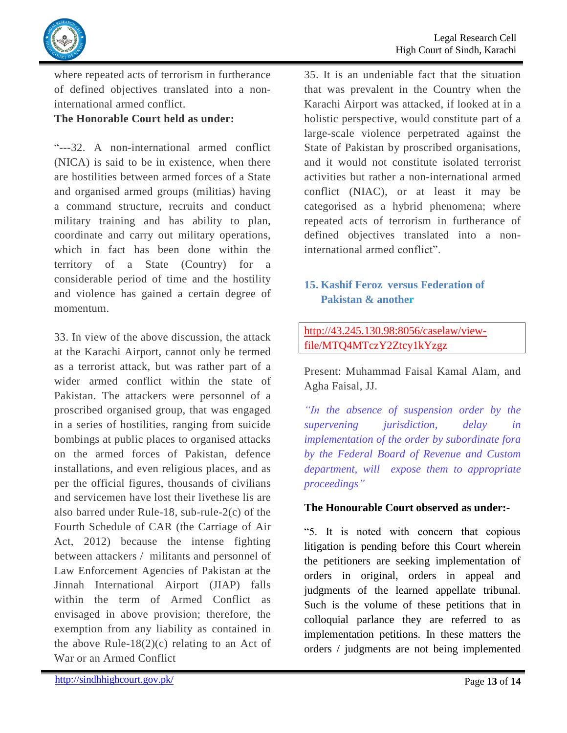

where repeated acts of terrorism in furtherance of defined objectives translated into a noninternational armed conflict.

# **The Honorable Court held as under:**

"---32. A non-international armed conflict (NICA) is said to be in existence, when there are hostilities between armed forces of a State and organised armed groups (militias) having a command structure, recruits and conduct military training and has ability to plan, coordinate and carry out military operations, which in fact has been done within the territory of a State (Country) for considerable period of time and the hostility and violence has gained a certain degree of momentum.

33. In view of the above discussion, the attack at the Karachi Airport, cannot only be termed as a terrorist attack, but was rather part of a wider armed conflict within the state of Pakistan. The attackers were personnel of a proscribed organised group, that was engaged in a series of hostilities, ranging from suicide bombings at public places to organised attacks on the armed forces of Pakistan, defence installations, and even religious places, and as per the official figures, thousands of civilians and servicemen have lost their livethese lis are also barred under Rule-18, sub-rule-2(c) of the Fourth Schedule of CAR (the Carriage of Air Act, 2012) because the intense fighting between attackers / militants and personnel of Law Enforcement Agencies of Pakistan at the Jinnah International Airport (JIAP) falls within the term of Armed Conflict as envisaged in above provision; therefore, the exemption from any liability as contained in the above Rule-18 $(2)(c)$  relating to an Act of War or an Armed Conflict

35. It is an undeniable fact that the situation that was prevalent in the Country when the Karachi Airport was attacked, if looked at in a holistic perspective, would constitute part of a large-scale violence perpetrated against the State of Pakistan by proscribed organisations, and it would not constitute isolated terrorist activities but rather a non-international armed conflict (NIAC), or at least it may be categorised as a hybrid phenomena; where repeated acts of terrorism in furtherance of defined objectives translated into a noninternational armed conflict".

# <span id="page-12-0"></span>**15. Kashif Feroz versus Federation of Pakistan & another**

# [http://43.245.130.98:8056/caselaw/view](http://43.245.130.98:8056/caselaw/view-)file/MTQ4MTczY2Ztcy1kYzgz

Present: Muhammad Faisal Kamal Alam, and Agha Faisal, JJ.

<span id="page-12-1"></span>*"In the absence of suspension order by the supervening jurisdiction, delay in implementation of the order by subordinate fora by the Federal Board of Revenue and Custom department, will expose them to appropriate proceedings"*

# **The Honourable Court observed as under:-**

"5. It is noted with concern that copious litigation is pending before this Court wherein the petitioners are seeking implementation of orders in original, orders in appeal and judgments of the learned appellate tribunal. Such is the volume of these petitions that in colloquial parlance they are referred to as implementation petitions. In these matters the orders / judgments are not being implemented